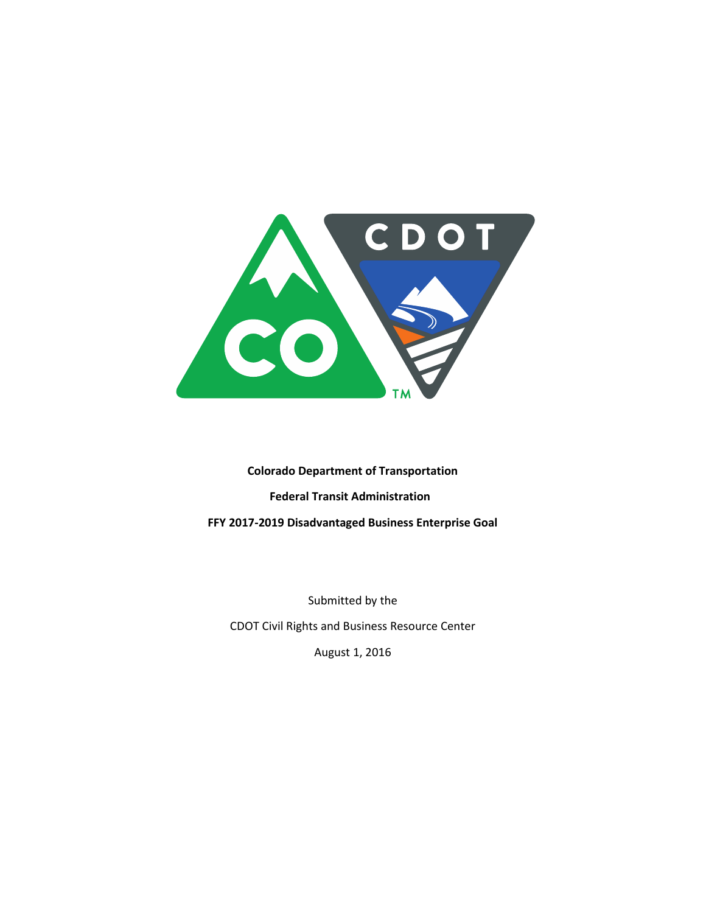

**Colorado Department of Transportation Federal Transit Administration FFY 2017-2019 Disadvantaged Business Enterprise Goal** 

Submitted by the

CDOT Civil Rights and Business Resource Center

August 1, 2016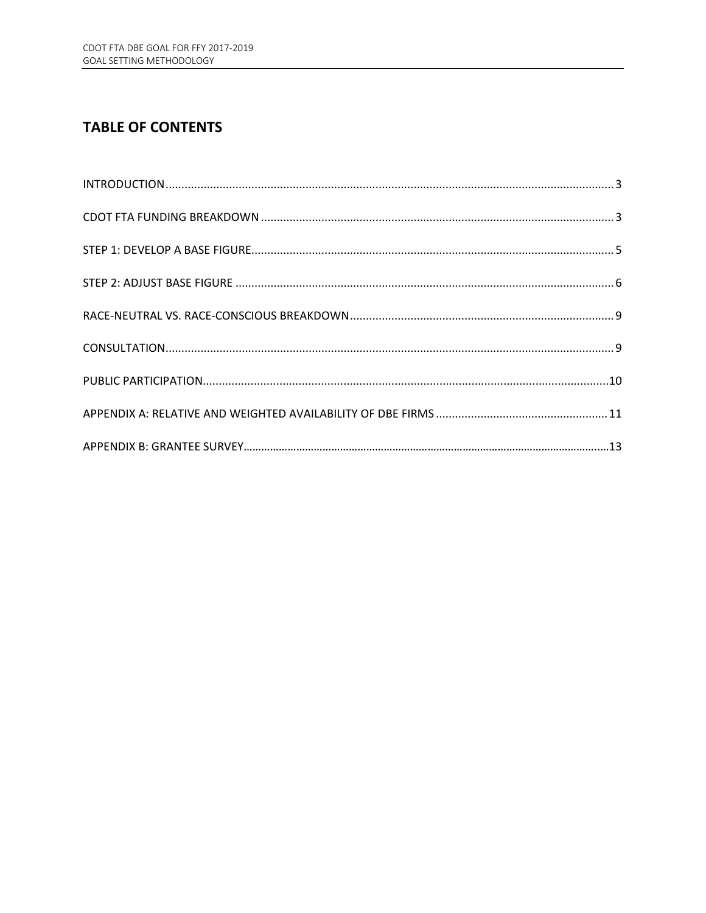# **TABLE OF CONTENTS**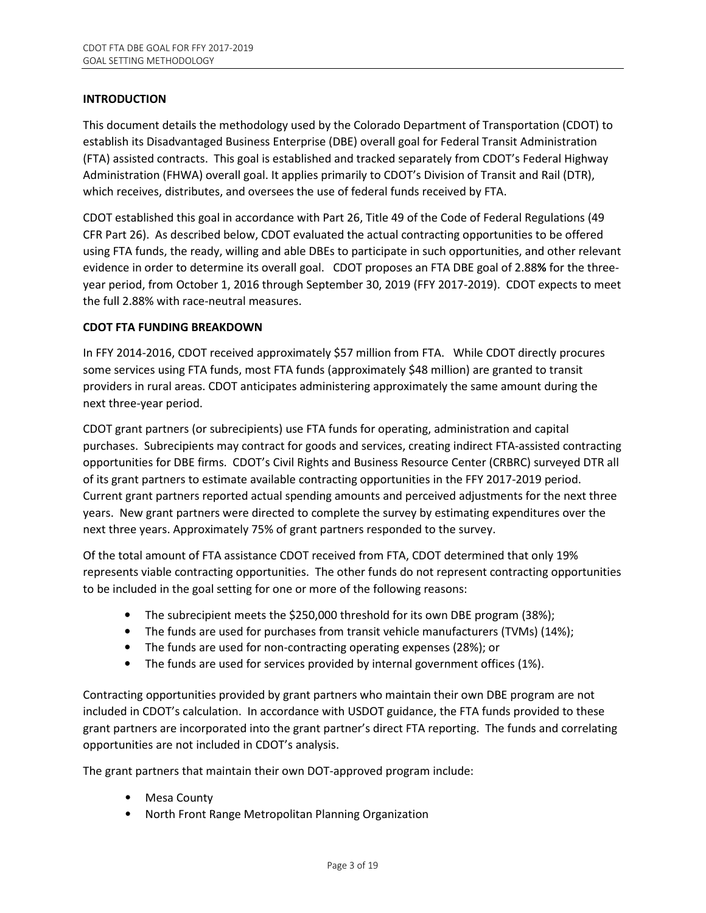# **INTRODUCTION**

This document details the methodology used by the Colorado Department of Transportation (CDOT) to establish its Disadvantaged Business Enterprise (DBE) overall goal for Federal Transit Administration (FTA) assisted contracts. This goal is established and tracked separately from CDOT's Federal Highway Administration (FHWA) overall goal. It applies primarily to CDOT's Division of Transit and Rail (DTR), which receives, distributes, and oversees the use of federal funds received by FTA.

CDOT established this goal in accordance with Part 26, Title 49 of the Code of Federal Regulations (49 CFR Part 26). As described below, CDOT evaluated the actual contracting opportunities to be offered using FTA funds, the ready, willing and able DBEs to participate in such opportunities, and other relevant evidence in order to determine its overall goal. CDOT proposes an FTA DBE goal of 2.88**%** for the threeyear period, from October 1, 2016 through September 30, 2019 (FFY 2017-2019). CDOT expects to meet the full 2.88% with race-neutral measures.

# **CDOT FTA FUNDING BREAKDOWN**

In FFY 2014-2016, CDOT received approximately \$57 million from FTA. While CDOT directly procures some services using FTA funds, most FTA funds (approximately \$48 million) are granted to transit providers in rural areas. CDOT anticipates administering approximately the same amount during the next three-year period.

CDOT grant partners (or subrecipients) use FTA funds for operating, administration and capital purchases. Subrecipients may contract for goods and services, creating indirect FTA-assisted contracting opportunities for DBE firms. CDOT's Civil Rights and Business Resource Center (CRBRC) surveyed DTR all of its grant partners to estimate available contracting opportunities in the FFY 2017-2019 period. Current grant partners reported actual spending amounts and perceived adjustments for the next three years. New grant partners were directed to complete the survey by estimating expenditures over the next three years. Approximately 75% of grant partners responded to the survey.

Of the total amount of FTA assistance CDOT received from FTA, CDOT determined that only 19% represents viable contracting opportunities. The other funds do not represent contracting opportunities to be included in the goal setting for one or more of the following reasons:

- The subrecipient meets the \$250,000 threshold for its own DBE program (38%);
- The funds are used for purchases from transit vehicle manufacturers (TVMs) (14%);
- The funds are used for non-contracting operating expenses (28%); or
- The funds are used for services provided by internal government offices (1%).

Contracting opportunities provided by grant partners who maintain their own DBE program are not included in CDOT's calculation. In accordance with USDOT guidance, the FTA funds provided to these grant partners are incorporated into the grant partner's direct FTA reporting. The funds and correlating opportunities are not included in CDOT's analysis.

The grant partners that maintain their own DOT-approved program include:

- Mesa County
- North Front Range Metropolitan Planning Organization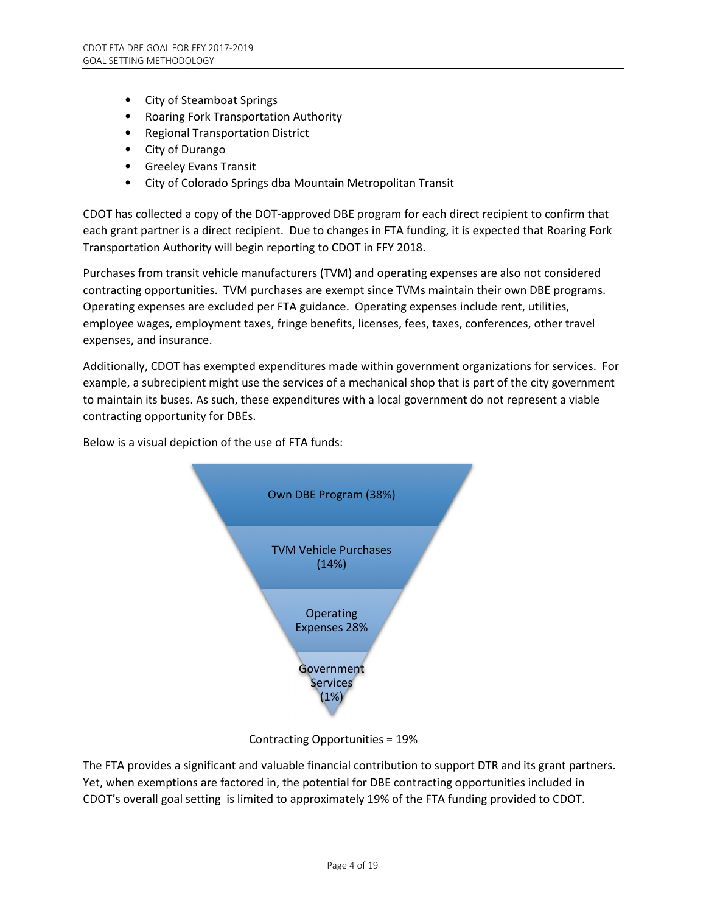- City of Steamboat Springs
- Roaring Fork Transportation Authority
- Regional Transportation District
- City of Durango
- Greeley Evans Transit
- City of Colorado Springs dba Mountain Metropolitan Transit

CDOT has collected a copy of the DOT-approved DBE program for each direct recipient to confirm that each grant partner is a direct recipient. Due to changes in FTA funding, it is expected that Roaring Fork Transportation Authority will begin reporting to CDOT in FFY 2018.

Purchases from transit vehicle manufacturers (TVM) and operating expenses are also not considered contracting opportunities. TVM purchases are exempt since TVMs maintain their own DBE programs. Operating expenses are excluded per FTA guidance. Operating expenses include rent, utilities, employee wages, employment taxes, fringe benefits, licenses, fees, taxes, conferences, other travel expenses, and insurance.

Additionally, CDOT has exempted expenditures made within government organizations for services. For example, a subrecipient might use the services of a mechanical shop that is part of the city government to maintain its buses. As such, these expenditures with a local government do not represent a viable contracting opportunity for DBEs.

Below is a visual depiction of the use of FTA funds:



Contracting Opportunities = 19%

The FTA provides a significant and valuable financial contribution to support DTR and its grant partners. Yet, when exemptions are factored in, the potential for DBE contracting opportunities included in CDOT's overall goal setting is limited to approximately 19% of the FTA funding provided to CDOT.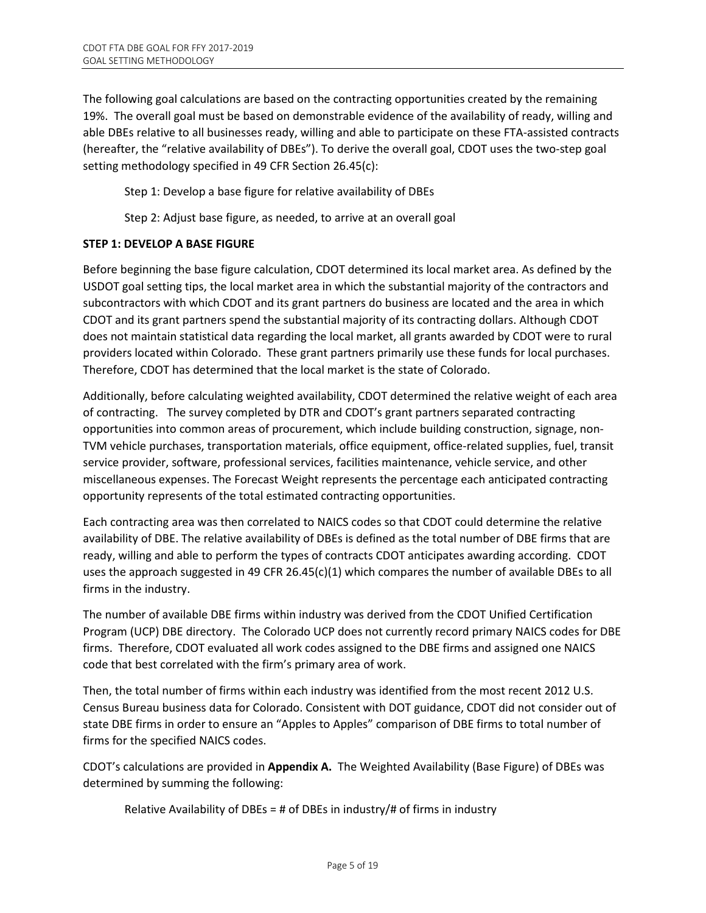The following goal calculations are based on the contracting opportunities created by the remaining 19%. The overall goal must be based on demonstrable evidence of the availability of ready, willing and able DBEs relative to all businesses ready, willing and able to participate on these FTA-assisted contracts (hereafter, the "relative availability of DBEs"). To derive the overall goal, CDOT uses the two-step goal setting methodology specified in 49 CFR Section 26.45(c):

Step 1: Develop a base figure for relative availability of DBEs

Step 2: Adjust base figure, as needed, to arrive at an overall goal

# **STEP 1: DEVELOP A BASE FIGURE**

Before beginning the base figure calculation, CDOT determined its local market area. As defined by the USDOT goal setting tips, the local market area in which the substantial majority of the contractors and subcontractors with which CDOT and its grant partners do business are located and the area in which CDOT and its grant partners spend the substantial majority of its contracting dollars. Although CDOT does not maintain statistical data regarding the local market, all grants awarded by CDOT were to rural providers located within Colorado. These grant partners primarily use these funds for local purchases. Therefore, CDOT has determined that the local market is the state of Colorado.

Additionally, before calculating weighted availability, CDOT determined the relative weight of each area of contracting. The survey completed by DTR and CDOT's grant partners separated contracting opportunities into common areas of procurement, which include building construction, signage, non-TVM vehicle purchases, transportation materials, office equipment, office-related supplies, fuel, transit service provider, software, professional services, facilities maintenance, vehicle service, and other miscellaneous expenses. The Forecast Weight represents the percentage each anticipated contracting opportunity represents of the total estimated contracting opportunities.

Each contracting area was then correlated to NAICS codes so that CDOT could determine the relative availability of DBE. The relative availability of DBEs is defined as the total number of DBE firms that are ready, willing and able to perform the types of contracts CDOT anticipates awarding according. CDOT uses the approach suggested in 49 CFR 26.45(c)(1) which compares the number of available DBEs to all firms in the industry.

The number of available DBE firms within industry was derived from the CDOT Unified Certification Program (UCP) DBE directory. The Colorado UCP does not currently record primary NAICS codes for DBE firms. Therefore, CDOT evaluated all work codes assigned to the DBE firms and assigned one NAICS code that best correlated with the firm's primary area of work.

Then, the total number of firms within each industry was identified from the most recent 2012 U.S. Census Bureau business data for Colorado. Consistent with DOT guidance, CDOT did not consider out of state DBE firms in order to ensure an "Apples to Apples" comparison of DBE firms to total number of firms for the specified NAICS codes.

CDOT's calculations are provided in **Appendix A.** The Weighted Availability (Base Figure) of DBEs was determined by summing the following:

Relative Availability of DBEs = # of DBEs in industry/# of firms in industry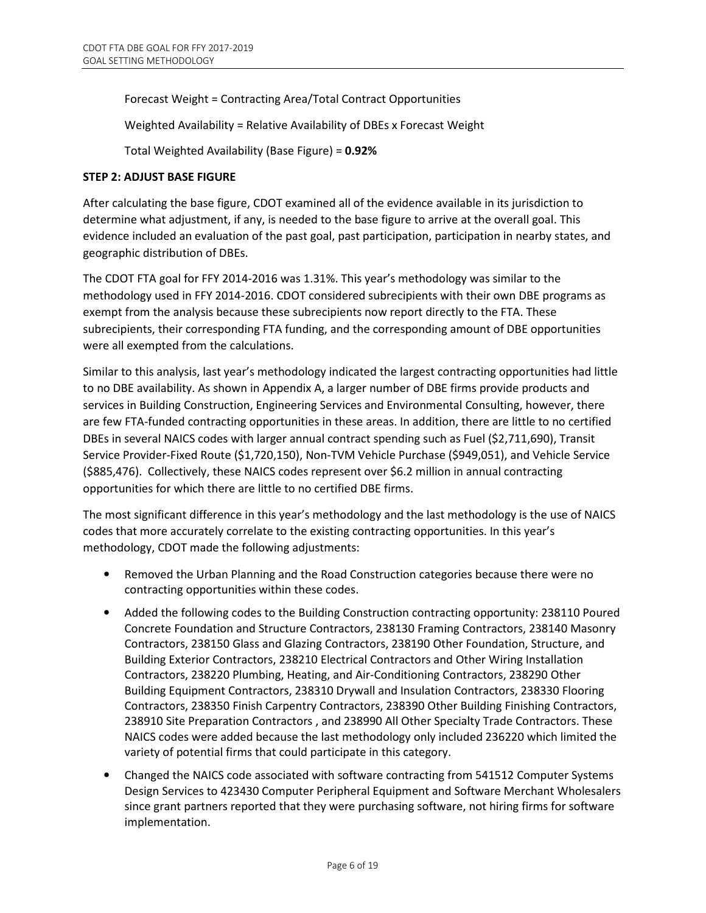Forecast Weight = Contracting Area/Total Contract Opportunities

Weighted Availability = Relative Availability of DBEs x Forecast Weight

Total Weighted Availability (Base Figure) = **0.92%**

#### **STEP 2: ADJUST BASE FIGURE**

After calculating the base figure, CDOT examined all of the evidence available in its jurisdiction to determine what adjustment, if any, is needed to the base figure to arrive at the overall goal. This evidence included an evaluation of the past goal, past participation, participation in nearby states, and geographic distribution of DBEs.

The CDOT FTA goal for FFY 2014-2016 was 1.31%. This year's methodology was similar to the methodology used in FFY 2014-2016. CDOT considered subrecipients with their own DBE programs as exempt from the analysis because these subrecipients now report directly to the FTA. These subrecipients, their corresponding FTA funding, and the corresponding amount of DBE opportunities were all exempted from the calculations.

Similar to this analysis, last year's methodology indicated the largest contracting opportunities had little to no DBE availability. As shown in Appendix A, a larger number of DBE firms provide products and services in Building Construction, Engineering Services and Environmental Consulting, however, there are few FTA-funded contracting opportunities in these areas. In addition, there are little to no certified DBEs in several NAICS codes with larger annual contract spending such as Fuel (\$2,711,690), Transit Service Provider-Fixed Route (\$1,720,150), Non-TVM Vehicle Purchase (\$949,051), and Vehicle Service (\$885,476). Collectively, these NAICS codes represent over \$6.2 million in annual contracting opportunities for which there are little to no certified DBE firms.

The most significant difference in this year's methodology and the last methodology is the use of NAICS codes that more accurately correlate to the existing contracting opportunities. In this year's methodology, CDOT made the following adjustments:

- Removed the Urban Planning and the Road Construction categories because there were no contracting opportunities within these codes.
- Added the following codes to the Building Construction contracting opportunity: 238110 Poured Concrete Foundation and Structure Contractors, 238130 Framing Contractors, 238140 Masonry Contractors, 238150 Glass and Glazing Contractors, 238190 Other Foundation, Structure, and Building Exterior Contractors, 238210 Electrical Contractors and Other Wiring Installation Contractors, 238220 Plumbing, Heating, and Air-Conditioning Contractors, 238290 Other Building Equipment Contractors, 238310 Drywall and Insulation Contractors, 238330 Flooring Contractors, 238350 Finish Carpentry Contractors, 238390 Other Building Finishing Contractors, 238910 Site Preparation Contractors , and 238990 All Other Specialty Trade Contractors. These NAICS codes were added because the last methodology only included 236220 which limited the variety of potential firms that could participate in this category.
- Changed the NAICS code associated with software contracting from 541512 Computer Systems Design Services to 423430 Computer Peripheral Equipment and Software Merchant Wholesalers since grant partners reported that they were purchasing software, not hiring firms for software implementation.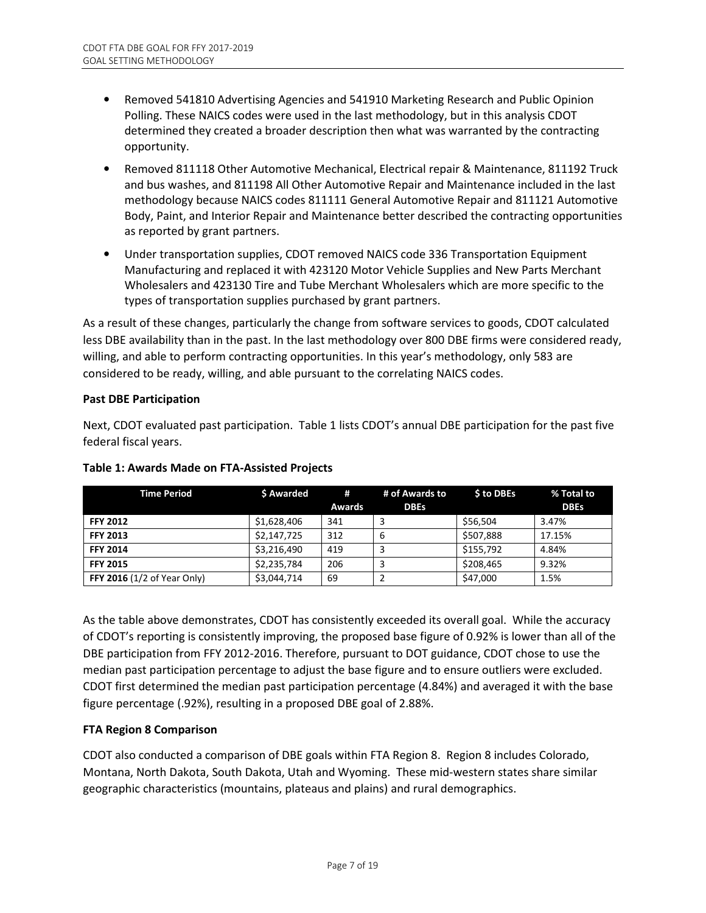- Removed 541810 Advertising Agencies and 541910 Marketing Research and Public Opinion Polling. These NAICS codes were used in the last methodology, but in this analysis CDOT determined they created a broader description then what was warranted by the contracting opportunity.
- Removed 811118 Other Automotive Mechanical, Electrical repair & Maintenance, 811192 Truck and bus washes, and 811198 All Other Automotive Repair and Maintenance included in the last methodology because NAICS codes 811111 General Automotive Repair and 811121 Automotive Body, Paint, and Interior Repair and Maintenance better described the contracting opportunities as reported by grant partners.
- Under transportation supplies, CDOT removed NAICS code 336 Transportation Equipment Manufacturing and replaced it with 423120 Motor Vehicle Supplies and New Parts Merchant Wholesalers and 423130 Tire and Tube Merchant Wholesalers which are more specific to the types of transportation supplies purchased by grant partners.

As a result of these changes, particularly the change from software services to goods, CDOT calculated less DBE availability than in the past. In the last methodology over 800 DBE firms were considered ready, willing, and able to perform contracting opportunities. In this year's methodology, only 583 are considered to be ready, willing, and able pursuant to the correlating NAICS codes.

# **Past DBE Participation**

Next, CDOT evaluated past participation. Table 1 lists CDOT's annual DBE participation for the past five federal fiscal years.

| <b>Time Period</b>                 | \$ Awarded  | #             | # of Awards to | <b>S to DBEs</b> | % Total to  |
|------------------------------------|-------------|---------------|----------------|------------------|-------------|
|                                    |             | <b>Awards</b> | <b>DBEs</b>    |                  | <b>DBEs</b> |
| <b>FFY 2012</b>                    | \$1,628,406 | 341           |                | \$56.504         | 3.47%       |
| <b>FFY 2013</b>                    | \$2,147,725 | 312           | 6              | \$507,888        | 17.15%      |
| <b>FFY 2014</b>                    | \$3,216,490 | 419           |                | \$155,792        | 4.84%       |
| <b>FFY 2015</b>                    | \$2,235,784 | 206           |                | \$208,465        | 9.32%       |
| <b>FFY 2016</b> (1/2 of Year Only) | \$3,044,714 | 69            |                | \$47,000         | 1.5%        |

# **Table 1: Awards Made on FTA-Assisted Projects**

As the table above demonstrates, CDOT has consistently exceeded its overall goal. While the accuracy of CDOT's reporting is consistently improving, the proposed base figure of 0.92% is lower than all of the DBE participation from FFY 2012-2016. Therefore, pursuant to DOT guidance, CDOT chose to use the median past participation percentage to adjust the base figure and to ensure outliers were excluded. CDOT first determined the median past participation percentage (4.84%) and averaged it with the base figure percentage (.92%), resulting in a proposed DBE goal of 2.88%.

# **FTA Region 8 Comparison**

CDOT also conducted a comparison of DBE goals within FTA Region 8. Region 8 includes Colorado, Montana, North Dakota, South Dakota, Utah and Wyoming. These mid-western states share similar geographic characteristics (mountains, plateaus and plains) and rural demographics.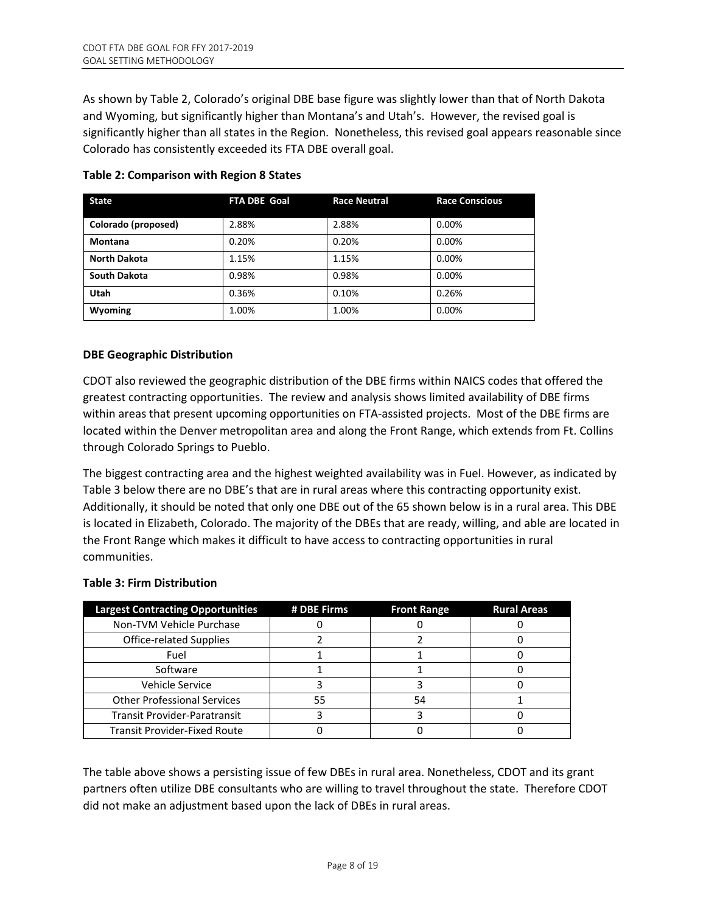As shown by Table 2, Colorado's original DBE base figure was slightly lower than that of North Dakota and Wyoming, but significantly higher than Montana's and Utah's. However, the revised goal is significantly higher than all states in the Region. Nonetheless, this revised goal appears reasonable since Colorado has consistently exceeded its FTA DBE overall goal.

| <b>State</b>        | <b>FTA DBE Goal</b> | <b>Race Neutral</b> | <b>Race Conscious</b> |
|---------------------|---------------------|---------------------|-----------------------|
| Colorado (proposed) | 2.88%               | 2.88%               | 0.00%                 |
| <b>Montana</b>      | 0.20%               | 0.20%               | 0.00%                 |
| <b>North Dakota</b> | 1.15%               | 1.15%               | 0.00%                 |
| South Dakota        | 0.98%               | 0.98%               | 0.00%                 |
| Utah                | 0.36%               | 0.10%               | 0.26%                 |
| Wyoming             | 1.00%               | 1.00%               | 0.00%                 |

#### **Table 2: Comparison with Region 8 States**

# **DBE Geographic Distribution**

CDOT also reviewed the geographic distribution of the DBE firms within NAICS codes that offered the greatest contracting opportunities. The review and analysis shows limited availability of DBE firms within areas that present upcoming opportunities on FTA-assisted projects. Most of the DBE firms are located within the Denver metropolitan area and along the Front Range, which extends from Ft. Collins through Colorado Springs to Pueblo.

The biggest contracting area and the highest weighted availability was in Fuel. However, as indicated by Table 3 below there are no DBE's that are in rural areas where this contracting opportunity exist. Additionally, it should be noted that only one DBE out of the 65 shown below is in a rural area. This DBE is located in Elizabeth, Colorado. The majority of the DBEs that are ready, willing, and able are located in the Front Range which makes it difficult to have access to contracting opportunities in rural communities.

# **Table 3: Firm Distribution**

| <b>Largest Contracting Opportunities</b> | # DBE Firms | <b>Front Range</b> | <b>Rural Areas</b> |
|------------------------------------------|-------------|--------------------|--------------------|
| Non-TVM Vehicle Purchase                 |             |                    |                    |
| <b>Office-related Supplies</b>           |             |                    |                    |
| Fuel                                     |             |                    |                    |
| Software                                 |             |                    |                    |
| Vehicle Service                          |             |                    |                    |
| <b>Other Professional Services</b>       | 55          | 54                 |                    |
| <b>Transit Provider-Paratransit</b>      |             |                    |                    |
| <b>Transit Provider-Fixed Route</b>      |             |                    |                    |

The table above shows a persisting issue of few DBEs in rural area. Nonetheless, CDOT and its grant partners often utilize DBE consultants who are willing to travel throughout the state. Therefore CDOT did not make an adjustment based upon the lack of DBEs in rural areas.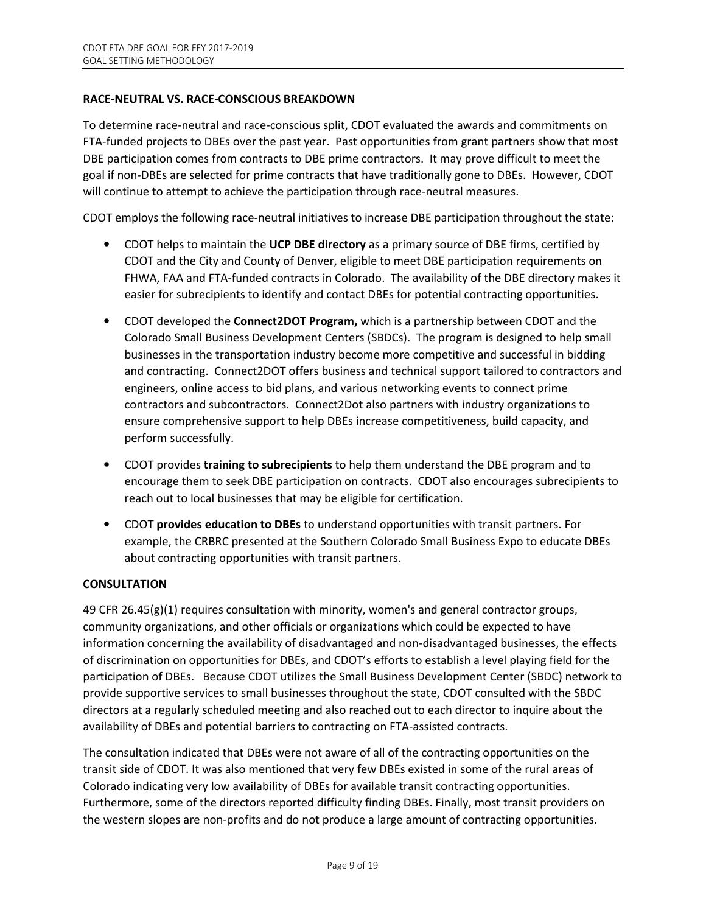#### **RACE-NEUTRAL VS. RACE-CONSCIOUS BREAKDOWN**

To determine race-neutral and race-conscious split, CDOT evaluated the awards and commitments on FTA-funded projects to DBEs over the past year. Past opportunities from grant partners show that most DBE participation comes from contracts to DBE prime contractors. It may prove difficult to meet the goal if non-DBEs are selected for prime contracts that have traditionally gone to DBEs. However, CDOT will continue to attempt to achieve the participation through race-neutral measures.

CDOT employs the following race-neutral initiatives to increase DBE participation throughout the state:

- CDOT helps to maintain the **UCP DBE directory** as a primary source of DBE firms, certified by CDOT and the City and County of Denver, eligible to meet DBE participation requirements on FHWA, FAA and FTA-funded contracts in Colorado. The availability of the DBE directory makes it easier for subrecipients to identify and contact DBEs for potential contracting opportunities.
- CDOT developed the **Connect2DOT Program,** which is a partnership between CDOT and the Colorado Small Business Development Centers (SBDCs). The program is designed to help small businesses in the transportation industry become more competitive and successful in bidding and contracting. Connect2DOT offers business and technical support tailored to contractors and engineers, online access to bid plans, and various networking events to connect prime contractors and subcontractors. Connect2Dot also partners with industry organizations to ensure comprehensive support to help DBEs increase competitiveness, build capacity, and perform successfully.
- CDOT provides **training to subrecipients** to help them understand the DBE program and to encourage them to seek DBE participation on contracts. CDOT also encourages subrecipients to reach out to local businesses that may be eligible for certification.
- CDOT **provides education to DBEs** to understand opportunities with transit partners. For example, the CRBRC presented at the Southern Colorado Small Business Expo to educate DBEs about contracting opportunities with transit partners.

#### **CONSULTATION**

49 CFR 26.45(g)(1) requires consultation with minority, women's and general contractor groups, community organizations, and other officials or organizations which could be expected to have information concerning the availability of disadvantaged and non-disadvantaged businesses, the effects of discrimination on opportunities for DBEs, and CDOT's efforts to establish a level playing field for the participation of DBEs. Because CDOT utilizes the Small Business Development Center (SBDC) network to provide supportive services to small businesses throughout the state, CDOT consulted with the SBDC directors at a regularly scheduled meeting and also reached out to each director to inquire about the availability of DBEs and potential barriers to contracting on FTA-assisted contracts.

The consultation indicated that DBEs were not aware of all of the contracting opportunities on the transit side of CDOT. It was also mentioned that very few DBEs existed in some of the rural areas of Colorado indicating very low availability of DBEs for available transit contracting opportunities. Furthermore, some of the directors reported difficulty finding DBEs. Finally, most transit providers on the western slopes are non-profits and do not produce a large amount of contracting opportunities.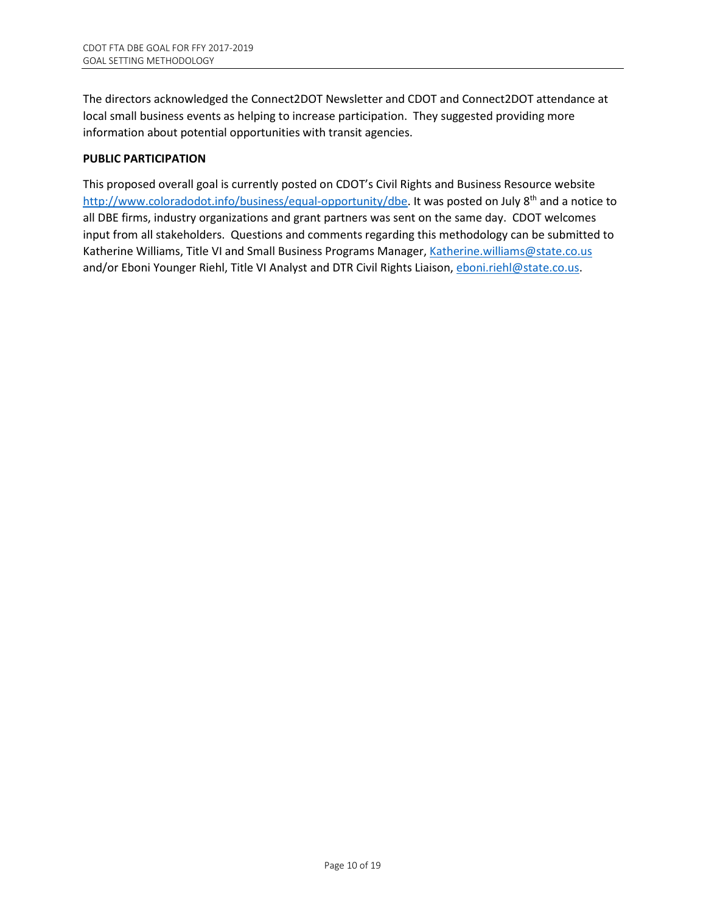The directors acknowledged the Connect2DOT Newsletter and CDOT and Connect2DOT attendance at local small business events as helping to increase participation. They suggested providing more information about potential opportunities with transit agencies.

#### **PUBLIC PARTICIPATION**

This proposed overall goal is currently posted on CDOT's Civil Rights and Business Resource website http://www.coloradodot.info/business/equal-opportunity/dbe. It was posted on July 8<sup>th</sup> and a notice to all DBE firms, industry organizations and grant partners was sent on the same day. CDOT welcomes input from all stakeholders. Questions and comments regarding this methodology can be submitted to Katherine Williams, Title VI and Small Business Programs Manager, Katherine.williams@state.co.us and/or Eboni Younger Riehl, Title VI Analyst and DTR Civil Rights Liaison, eboni.riehl@state.co.us.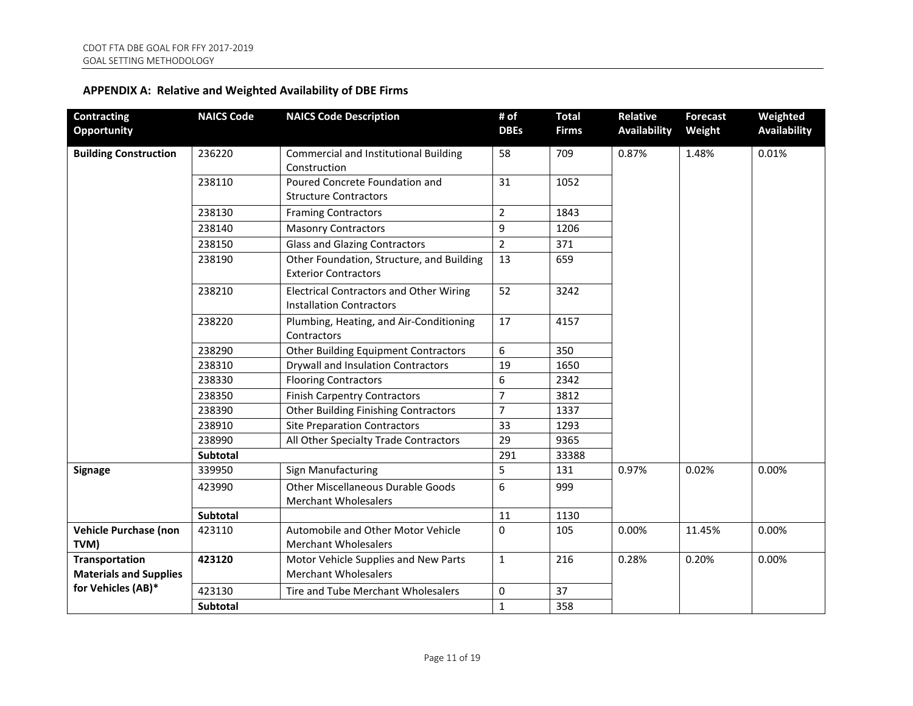| <b>Contracting</b><br><b>Opportunity</b>               | <b>NAICS Code</b> | <b>NAICS Code Description</b>                                                     | # of<br><b>DBEs</b> | <b>Total</b><br><b>Firms</b> | Relative<br><b>Availability</b> | <b>Forecast</b><br>Weight | Weighted<br><b>Availability</b> |
|--------------------------------------------------------|-------------------|-----------------------------------------------------------------------------------|---------------------|------------------------------|---------------------------------|---------------------------|---------------------------------|
| <b>Building Construction</b>                           | 236220            | <b>Commercial and Institutional Building</b><br>Construction                      | 58                  | 709                          | 0.87%                           | 1.48%                     | 0.01%                           |
|                                                        | 238110            | Poured Concrete Foundation and<br><b>Structure Contractors</b>                    | 31                  | 1052                         |                                 |                           |                                 |
|                                                        | 238130            | <b>Framing Contractors</b>                                                        | $\overline{2}$      | 1843                         |                                 |                           |                                 |
|                                                        | 238140            | <b>Masonry Contractors</b>                                                        | 9                   | 1206                         |                                 |                           |                                 |
|                                                        | 238150            | <b>Glass and Glazing Contractors</b>                                              | $\overline{2}$      | 371                          |                                 |                           |                                 |
|                                                        | 238190            | Other Foundation, Structure, and Building<br><b>Exterior Contractors</b>          | 13                  | 659                          |                                 |                           |                                 |
|                                                        | 238210            | <b>Electrical Contractors and Other Wiring</b><br><b>Installation Contractors</b> | 52                  | 3242                         |                                 |                           |                                 |
|                                                        | 238220            | Plumbing, Heating, and Air-Conditioning<br>Contractors                            | 17                  | 4157                         |                                 |                           |                                 |
|                                                        | 238290            | <b>Other Building Equipment Contractors</b>                                       | 6                   | 350                          |                                 |                           |                                 |
|                                                        | 238310            | Drywall and Insulation Contractors                                                | 19                  | 1650                         |                                 |                           |                                 |
|                                                        | 238330            | <b>Flooring Contractors</b>                                                       | 6                   | 2342                         |                                 |                           |                                 |
|                                                        | 238350            | <b>Finish Carpentry Contractors</b>                                               | $\overline{7}$      | 3812                         |                                 |                           |                                 |
|                                                        | 238390            | <b>Other Building Finishing Contractors</b>                                       | $\overline{7}$      | 1337                         |                                 |                           |                                 |
|                                                        | 238910            | <b>Site Preparation Contractors</b>                                               | 33                  | 1293                         |                                 |                           |                                 |
|                                                        | 238990            | All Other Specialty Trade Contractors                                             | 29                  | 9365                         |                                 |                           |                                 |
|                                                        | Subtotal          |                                                                                   | 291                 | 33388                        |                                 |                           |                                 |
| <b>Signage</b>                                         | 339950            | Sign Manufacturing                                                                | 5                   | 131                          | 0.97%                           | 0.02%                     | 0.00%                           |
|                                                        | 423990            | <b>Other Miscellaneous Durable Goods</b><br><b>Merchant Wholesalers</b>           | 6                   | 999                          |                                 |                           |                                 |
|                                                        | Subtotal          |                                                                                   | 11                  | 1130                         |                                 |                           |                                 |
| <b>Vehicle Purchase (non</b><br>TVM)                   | 423110            | Automobile and Other Motor Vehicle<br><b>Merchant Wholesalers</b>                 | $\mathbf 0$         | 105                          | 0.00%                           | 11.45%                    | 0.00%                           |
| <b>Transportation</b><br><b>Materials and Supplies</b> | 423120            | Motor Vehicle Supplies and New Parts<br><b>Merchant Wholesalers</b>               | $\mathbf{1}$        | 216                          | 0.28%                           | 0.20%                     | 0.00%                           |
| for Vehicles (AB)*                                     | 423130            | Tire and Tube Merchant Wholesalers                                                | $\mathbf 0$         | 37                           |                                 |                           |                                 |
|                                                        | <b>Subtotal</b>   |                                                                                   | $\mathbf{1}$        | 358                          |                                 |                           |                                 |

# **APPENDIX A: Relative and Weighted Availability of DBE Firms**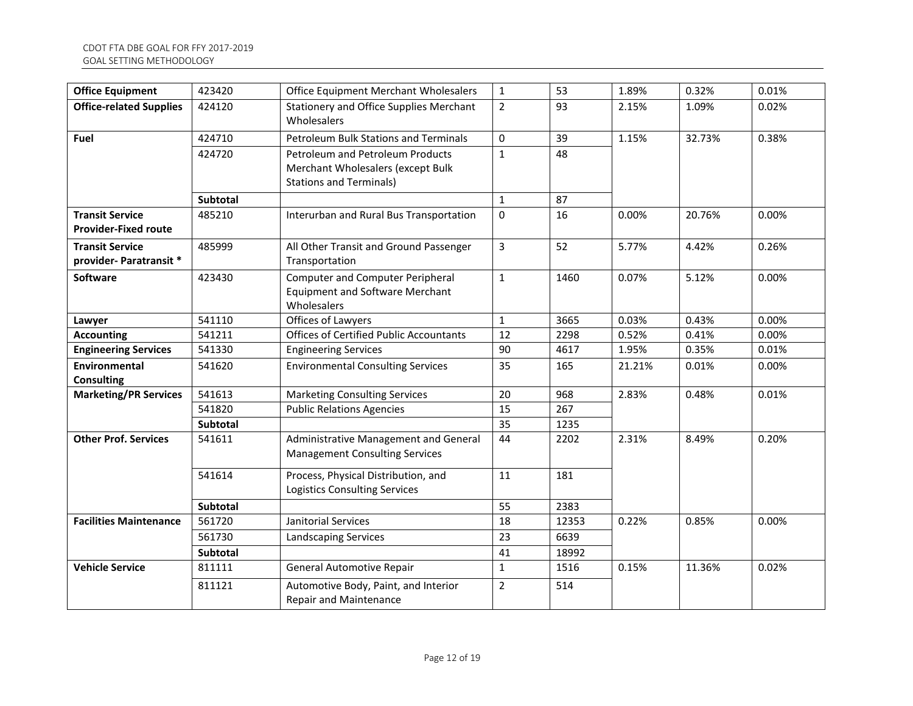| <b>Office Equipment</b>                               | 423420          | Office Equipment Merchant Wholesalers                                                                   | $\mathbf{1}$   | 53    | 1.89%  | 0.32%  | 0.01% |  |
|-------------------------------------------------------|-----------------|---------------------------------------------------------------------------------------------------------|----------------|-------|--------|--------|-------|--|
| <b>Office-related Supplies</b>                        | 424120          | <b>Stationery and Office Supplies Merchant</b><br>Wholesalers                                           | $\overline{2}$ | 93    | 2.15%  | 1.09%  | 0.02% |  |
| <b>Fuel</b>                                           | 424710          | Petroleum Bulk Stations and Terminals                                                                   | $\Omega$       | 39    | 1.15%  | 32.73% | 0.38% |  |
|                                                       | 424720          | Petroleum and Petroleum Products<br>Merchant Wholesalers (except Bulk<br><b>Stations and Terminals)</b> | $\mathbf{1}$   | 48    |        |        |       |  |
|                                                       | <b>Subtotal</b> |                                                                                                         | $\mathbf{1}$   | 87    |        |        |       |  |
| <b>Transit Service</b><br><b>Provider-Fixed route</b> | 485210          | Interurban and Rural Bus Transportation                                                                 | $\mathbf 0$    | 16    | 0.00%  | 20.76% | 0.00% |  |
| <b>Transit Service</b><br>provider- Paratransit *     | 485999          | All Other Transit and Ground Passenger<br>Transportation                                                | 3              | 52    | 5.77%  | 4.42%  | 0.26% |  |
| Software                                              | 423430          | <b>Computer and Computer Peripheral</b><br><b>Equipment and Software Merchant</b><br>Wholesalers        | $\mathbf{1}$   | 1460  | 0.07%  | 5.12%  | 0.00% |  |
| Lawyer                                                | 541110          | Offices of Lawyers                                                                                      | $\mathbf 1$    | 3665  | 0.03%  | 0.43%  | 0.00% |  |
| <b>Accounting</b>                                     | 541211          | <b>Offices of Certified Public Accountants</b>                                                          | 12             | 2298  | 0.52%  | 0.41%  | 0.00% |  |
| <b>Engineering Services</b>                           | 541330          | <b>Engineering Services</b>                                                                             | 90             | 4617  | 1.95%  | 0.35%  | 0.01% |  |
| Environmental<br><b>Consulting</b>                    | 541620          | <b>Environmental Consulting Services</b>                                                                | 35             | 165   | 21.21% | 0.01%  | 0.00% |  |
| <b>Marketing/PR Services</b>                          | 541613          | <b>Marketing Consulting Services</b>                                                                    | 20             | 968   | 2.83%  | 0.48%  | 0.01% |  |
|                                                       | 541820          | <b>Public Relations Agencies</b>                                                                        | 15             | 267   |        |        |       |  |
|                                                       | <b>Subtotal</b> |                                                                                                         | 35             | 1235  |        |        |       |  |
| <b>Other Prof. Services</b>                           | 541611          | Administrative Management and General<br><b>Management Consulting Services</b>                          | 44             | 2202  | 2.31%  | 8.49%  | 0.20% |  |
|                                                       | 541614          | Process, Physical Distribution, and<br><b>Logistics Consulting Services</b>                             | 11             | 181   |        |        |       |  |
|                                                       | Subtotal        |                                                                                                         | 55             | 2383  |        |        |       |  |
| <b>Facilities Maintenance</b>                         | 561720          | Janitorial Services                                                                                     | 18             | 12353 | 0.22%  | 0.85%  | 0.00% |  |
|                                                       | 561730          | Landscaping Services                                                                                    | 23             | 6639  |        |        |       |  |
|                                                       | Subtotal        |                                                                                                         | 41             | 18992 |        |        |       |  |
| <b>Vehicle Service</b>                                | 811111          | <b>General Automotive Repair</b>                                                                        | $\mathbf{1}$   | 1516  | 0.15%  | 11.36% | 0.02% |  |
|                                                       | 811121          | Automotive Body, Paint, and Interior<br>Repair and Maintenance                                          | $\overline{2}$ | 514   |        |        |       |  |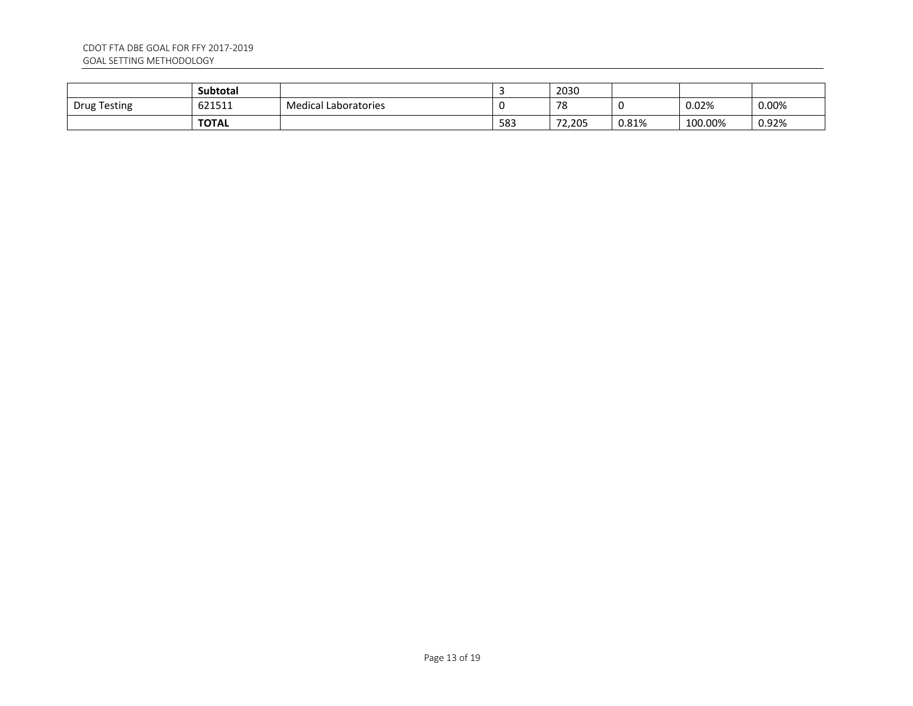|              | <b>Subtotal</b> |                             |     | 2030     |       |         |       |
|--------------|-----------------|-----------------------------|-----|----------|-------|---------|-------|
| Drug Testing | 621511          | <b>Medical Laboratories</b> |     | 70<br>70 |       | 0.02%   | 0.00% |
|              | <b>TOTAL</b>    |                             | 583 | 72,205   | 0.81% | 100.00% | 0.92% |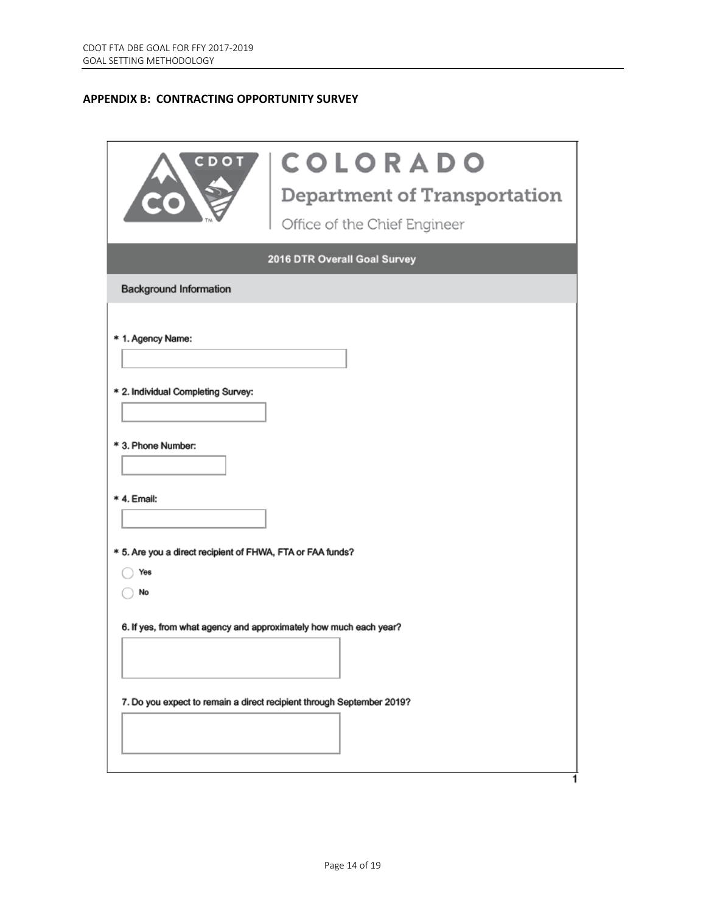# **APPENDIX B: CONTRACTING OPPORTUNITY SURVEY**

| CDOI                                                                    | <b>COLORADO</b><br>Department of Transportation<br>Office of the Chief Engineer |  |  |  |  |
|-------------------------------------------------------------------------|---------------------------------------------------------------------------------|--|--|--|--|
|                                                                         | 2016 DTR Overall Goal Survey                                                    |  |  |  |  |
| <b>Background Information</b>                                           |                                                                                 |  |  |  |  |
| * 1. Agency Name:                                                       |                                                                                 |  |  |  |  |
| * 2. Individual Completing Survey:                                      |                                                                                 |  |  |  |  |
| * 3. Phone Number:                                                      |                                                                                 |  |  |  |  |
| * 4. Email:                                                             |                                                                                 |  |  |  |  |
| * 5. Are you a direct recipient of FHWA, FTA or FAA funds?<br>Yes<br>No |                                                                                 |  |  |  |  |
| 6. If yes, from what agency and approximately how much each year?       |                                                                                 |  |  |  |  |
| 7. Do you expect to remain a direct recipient through September 2019?   |                                                                                 |  |  |  |  |
|                                                                         |                                                                                 |  |  |  |  |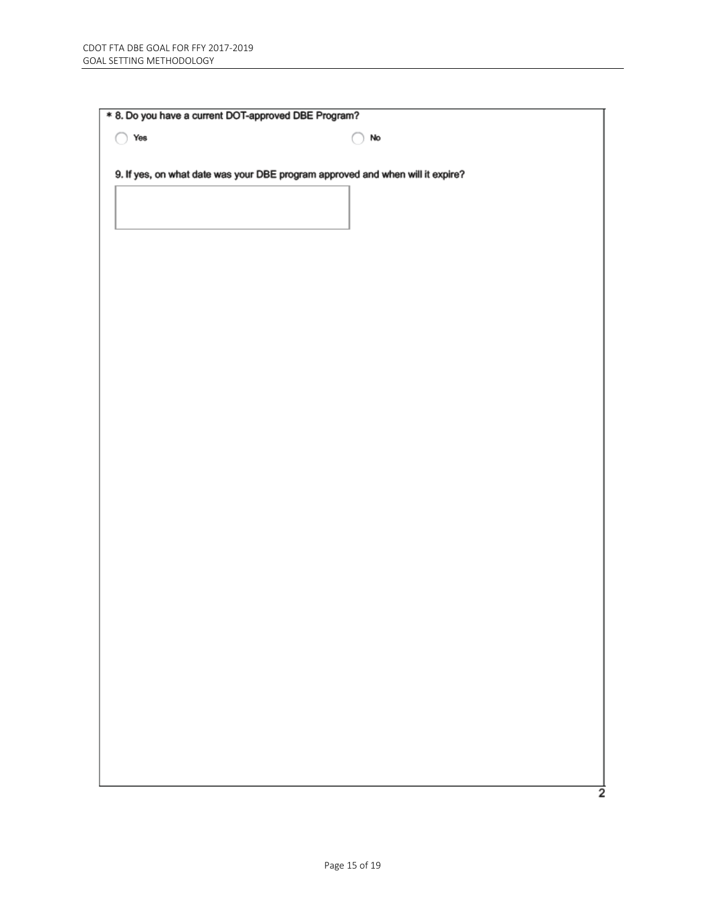| Yes<br>∩ | No                                                                             |  |
|----------|--------------------------------------------------------------------------------|--|
|          | 9. If yes, on what date was your DBE program approved and when will it expire? |  |
|          |                                                                                |  |
|          |                                                                                |  |
|          |                                                                                |  |
|          |                                                                                |  |
|          |                                                                                |  |
|          |                                                                                |  |
|          |                                                                                |  |
|          |                                                                                |  |
|          |                                                                                |  |
|          |                                                                                |  |
|          |                                                                                |  |
|          |                                                                                |  |
|          |                                                                                |  |
|          |                                                                                |  |
|          |                                                                                |  |
|          |                                                                                |  |
|          |                                                                                |  |
|          |                                                                                |  |
|          |                                                                                |  |
|          |                                                                                |  |
|          |                                                                                |  |
|          |                                                                                |  |
|          |                                                                                |  |
|          |                                                                                |  |
|          |                                                                                |  |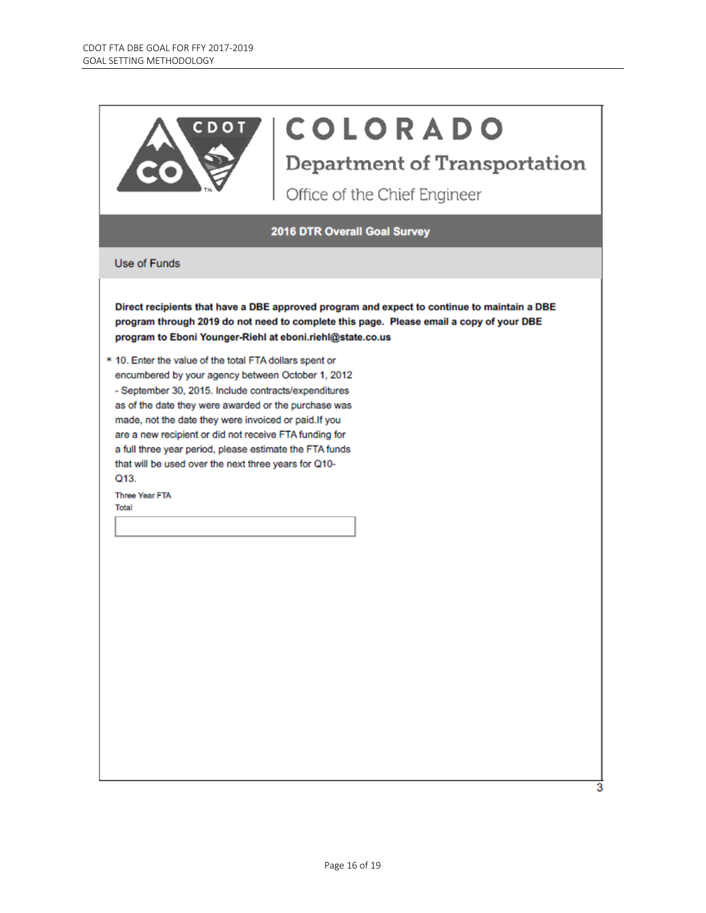

# **COLORADO**

**Department of Transportation** 

Office of the Chief Engineer

2016 DTR Overall Goal Survey

Use of Funds

Direct recipients that have a DBE approved program and expect to continue to maintain a DBE program through 2019 do not need to complete this page. Please email a copy of your DBE program to Eboni Younger-Riehl at eboni.riehl@state.co.us

\* 10. Enter the value of the total FTA dollars spent or encumbered by your agency between October 1, 2012 - September 30, 2015. Include contracts/expenditures as of the date they were awarded or the purchase was made, not the date they were invoiced or paid.If you are a new recipient or did not receive FTA funding for a full three year period, please estimate the FTA funds that will be used over the next three years for Q10-Q13.

Three Year FTA Total

з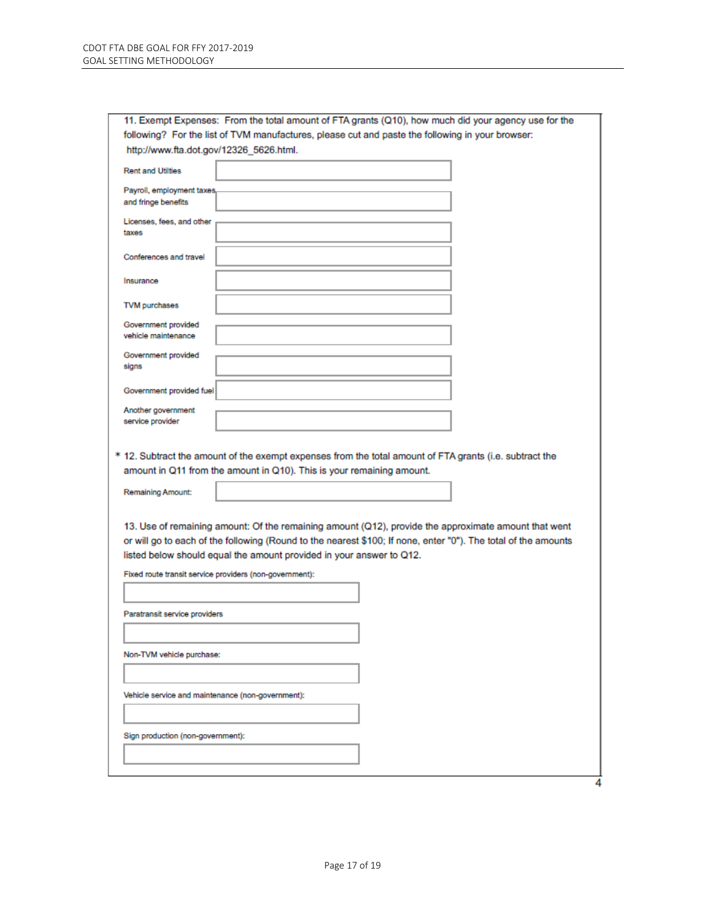| 11. Exempt Expenses: From the total amount of FTA grants (Q10), how much did your agency use for the           |  |  |  |  |  |  |  |
|----------------------------------------------------------------------------------------------------------------|--|--|--|--|--|--|--|
| following? For the list of TVM manufactures, please cut and paste the following in your browser:               |  |  |  |  |  |  |  |
| http://www.fta.dot.gov/12326_5626.html.                                                                        |  |  |  |  |  |  |  |
| <b>Rent and Utilties</b>                                                                                       |  |  |  |  |  |  |  |
| Payroll, employment taxes,                                                                                     |  |  |  |  |  |  |  |
| and fringe benefits                                                                                            |  |  |  |  |  |  |  |
|                                                                                                                |  |  |  |  |  |  |  |
| Licenses, fees, and other<br>taxes                                                                             |  |  |  |  |  |  |  |
|                                                                                                                |  |  |  |  |  |  |  |
| Conferences and travel                                                                                         |  |  |  |  |  |  |  |
|                                                                                                                |  |  |  |  |  |  |  |
| Insurance                                                                                                      |  |  |  |  |  |  |  |
|                                                                                                                |  |  |  |  |  |  |  |
| TVM purchases                                                                                                  |  |  |  |  |  |  |  |
| Government provided                                                                                            |  |  |  |  |  |  |  |
| vehicle maintenance                                                                                            |  |  |  |  |  |  |  |
| Government provided                                                                                            |  |  |  |  |  |  |  |
| signs                                                                                                          |  |  |  |  |  |  |  |
|                                                                                                                |  |  |  |  |  |  |  |
| Government provided fuel                                                                                       |  |  |  |  |  |  |  |
| Another government                                                                                             |  |  |  |  |  |  |  |
| service provider                                                                                               |  |  |  |  |  |  |  |
|                                                                                                                |  |  |  |  |  |  |  |
|                                                                                                                |  |  |  |  |  |  |  |
| * 12. Subtract the amount of the exempt expenses from the total amount of FTA grants (i.e. subtract the        |  |  |  |  |  |  |  |
| amount in Q11 from the amount in Q10). This is your remaining amount.                                          |  |  |  |  |  |  |  |
| <b>Remaining Amount:</b>                                                                                       |  |  |  |  |  |  |  |
|                                                                                                                |  |  |  |  |  |  |  |
|                                                                                                                |  |  |  |  |  |  |  |
| 13. Use of remaining amount: Of the remaining amount (Q12), provide the approximate amount that went           |  |  |  |  |  |  |  |
| or will go to each of the following (Round to the nearest \$100; If none, enter "0"). The total of the amounts |  |  |  |  |  |  |  |
| listed below should equal the amount provided in your answer to Q12.                                           |  |  |  |  |  |  |  |
| Fixed route transit service providers (non-government):                                                        |  |  |  |  |  |  |  |
|                                                                                                                |  |  |  |  |  |  |  |
|                                                                                                                |  |  |  |  |  |  |  |
| Paratransit service providers                                                                                  |  |  |  |  |  |  |  |
|                                                                                                                |  |  |  |  |  |  |  |
|                                                                                                                |  |  |  |  |  |  |  |
| Non-TVM vehicle purchase:                                                                                      |  |  |  |  |  |  |  |
|                                                                                                                |  |  |  |  |  |  |  |
|                                                                                                                |  |  |  |  |  |  |  |
| Vehicle service and maintenance (non-government):                                                              |  |  |  |  |  |  |  |
|                                                                                                                |  |  |  |  |  |  |  |
|                                                                                                                |  |  |  |  |  |  |  |
| Sign production (non-government):                                                                              |  |  |  |  |  |  |  |
|                                                                                                                |  |  |  |  |  |  |  |
|                                                                                                                |  |  |  |  |  |  |  |
|                                                                                                                |  |  |  |  |  |  |  |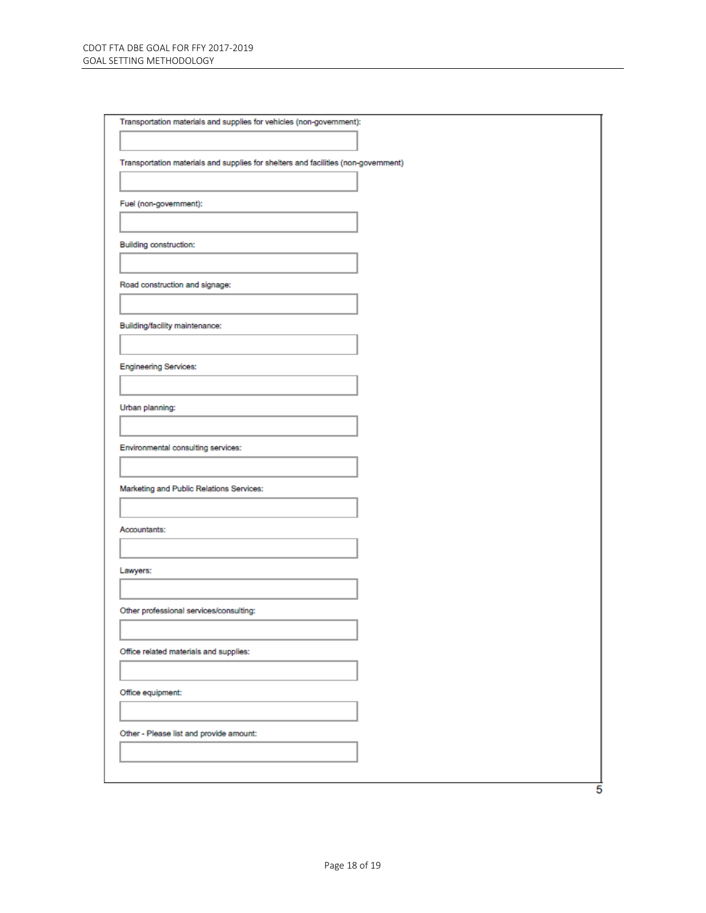| Transportation materials and supplies for vehicles (non-government):               |   |
|------------------------------------------------------------------------------------|---|
|                                                                                    |   |
| Transportation materials and supplies for shelters and facilities (non-government) |   |
| Fuel (non-government):                                                             |   |
|                                                                                    |   |
| <b>Building construction:</b>                                                      |   |
|                                                                                    |   |
| Road construction and signage:                                                     |   |
|                                                                                    |   |
| Building/facility maintenance:                                                     |   |
|                                                                                    |   |
| <b>Engineering Services:</b>                                                       |   |
|                                                                                    |   |
| Urban planning:                                                                    |   |
| Environmental consulting services:                                                 |   |
|                                                                                    |   |
| Marketing and Public Relations Services:                                           |   |
|                                                                                    |   |
| Accountants:                                                                       |   |
|                                                                                    |   |
| Lawyers:                                                                           |   |
| Other professional services/consulting:                                            |   |
|                                                                                    |   |
| Office related materials and supplies:                                             |   |
|                                                                                    |   |
| Office equipment:                                                                  |   |
|                                                                                    |   |
| Other - Please list and provide amount:                                            |   |
|                                                                                    |   |
|                                                                                    | 5 |
|                                                                                    |   |